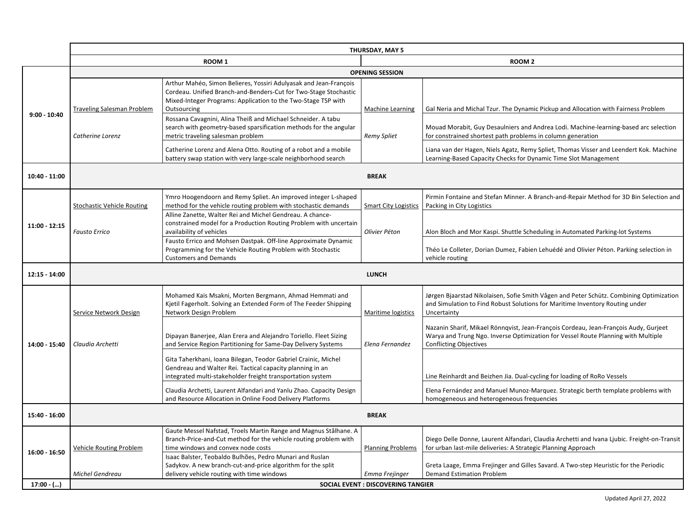|                | <b>THURSDAY, MAY 5</b>            |                                                                                                                                                                                                                                                                                       |                                           |                                                                                                                                                                                                            |  |
|----------------|-----------------------------------|---------------------------------------------------------------------------------------------------------------------------------------------------------------------------------------------------------------------------------------------------------------------------------------|-------------------------------------------|------------------------------------------------------------------------------------------------------------------------------------------------------------------------------------------------------------|--|
|                |                                   | ROOM <sub>1</sub>                                                                                                                                                                                                                                                                     | ROOM <sub>2</sub>                         |                                                                                                                                                                                                            |  |
|                | <b>OPENING SESSION</b>            |                                                                                                                                                                                                                                                                                       |                                           |                                                                                                                                                                                                            |  |
| $9:00 - 10:40$ | <b>Traveling Salesman Problem</b> | Arthur Mahéo, Simon Belieres, Yossiri Adulyasak and Jean-François<br>Cordeau. Unified Branch-and-Benders-Cut for Two-Stage Stochastic<br>Mixed-Integer Programs: Application to the Two-Stage TSP with<br>Outsourcing<br>Rossana Cavagnini, Alina Theiß and Michael Schneider. A tabu | <b>Machine Learning</b>                   | Gal Neria and Michal Tzur. The Dynamic Pickup and Allocation with Fairness Problem                                                                                                                         |  |
|                | Catherine Lorenz                  | search with geometry-based sparsification methods for the angular<br>metric traveling salesman problem                                                                                                                                                                                | <b>Remy Spliet</b>                        | Mouad Morabit, Guy Desaulniers and Andrea Lodi. Machine-learning-based arc selection<br>for constrained shortest path problems in column generation                                                        |  |
|                |                                   | Catherine Lorenz and Alena Otto. Routing of a robot and a mobile<br>battery swap station with very large-scale neighborhood search                                                                                                                                                    |                                           | Liana van der Hagen, Niels Agatz, Remy Spliet, Thomas Visser and Leendert Kok. Machine<br>Learning-Based Capacity Checks for Dynamic Time Slot Management                                                  |  |
| 10:40 - 11:00  | <b>BREAK</b>                      |                                                                                                                                                                                                                                                                                       |                                           |                                                                                                                                                                                                            |  |
|                | <b>Stochastic Vehicle Routing</b> | Ymro Hoogendoorn and Remy Spliet. An improved integer L-shaped<br>method for the vehicle routing problem with stochastic demands                                                                                                                                                      | <b>Smart City Logistics</b>               | Pirmin Fontaine and Stefan Minner. A Branch-and-Repair Method for 3D Bin Selection and<br>Packing in City Logistics                                                                                        |  |
| 11:00 - 12:15  | <b>Fausto Errico</b>              | Alline Zanette, Walter Rei and Michel Gendreau. A chance-<br>constrained model for a Production Routing Problem with uncertain<br>availability of vehicles                                                                                                                            | Olivier Péton                             | Alon Bloch and Mor Kaspi. Shuttle Scheduling in Automated Parking-lot Systems                                                                                                                              |  |
|                |                                   | Fausto Errico and Mohsen Dastpak. Off-line Approximate Dynamic<br>Programming for the Vehicle Routing Problem with Stochastic<br><b>Customers and Demands</b>                                                                                                                         |                                           | Théo Le Colleter, Dorian Dumez, Fabien Lehuédé and Olivier Péton. Parking selection in<br>vehicle routing                                                                                                  |  |
| 12:15 - 14:00  |                                   |                                                                                                                                                                                                                                                                                       | <b>LUNCH</b>                              |                                                                                                                                                                                                            |  |
|                | Service Network Design            | Mohamed Kais Msakni, Morten Bergmann, Ahmad Hemmati and<br>Kjetil Fagerholt. Solving an Extended Form of The Feeder Shipping<br>Network Design Problem                                                                                                                                | Maritime logistics                        | Jørgen Bjaarstad Nikolaisen, Sofie Smith Vågen and Peter Schütz. Combining Optimization<br>and Simulation to Find Robust Solutions for Maritime Inventory Routing under<br>Uncertainty                     |  |
| 14:00 - 15:40  | Claudia Archetti                  | Dipayan Banerjee, Alan Erera and Alejandro Toriello. Fleet Sizing<br>and Service Region Partitioning for Same-Day Delivery Systems                                                                                                                                                    | Elena Fernandez                           | Nazanin Sharif, Mikael Rönngvist, Jean-François Cordeau, Jean-François Audy, Gurjeet<br>Warya and Trung Ngo. Inverse Optimization for Vessel Route Planning with Multiple<br><b>Conflicting Objectives</b> |  |
|                |                                   | Gita Taherkhani, Ioana Bilegan, Teodor Gabriel Crainic, Michel<br>Gendreau and Walter Rei. Tactical capacity planning in an<br>integrated multi-stakeholder freight transportation system                                                                                             |                                           | Line Reinhardt and Beizhen Jia. Dual-cycling for loading of RoRo Vessels                                                                                                                                   |  |
|                |                                   | Claudia Archetti, Laurent Alfandari and Yanlu Zhao. Capacity Design<br>and Resource Allocation in Online Food Delivery Platforms                                                                                                                                                      |                                           | Elena Fernández and Manuel Munoz-Marquez. Strategic berth template problems with<br>homogeneous and heterogeneous frequencies                                                                              |  |
| 15:40 - 16:00  |                                   |                                                                                                                                                                                                                                                                                       | <b>BREAK</b>                              |                                                                                                                                                                                                            |  |
| 16:00 - 16:50  | Vehicle Routing Problem           | Gaute Messel Nafstad, Troels Martin Range and Magnus Stålhane. A<br>Branch-Price-and-Cut method for the vehicle routing problem with<br>time windows and convex node costs                                                                                                            | <b>Planning Problems</b>                  | Diego Delle Donne, Laurent Alfandari, Claudia Archetti and Ivana Ljubic. Freight-on-Transit<br>for urban last-mile deliveries: A Strategic Planning Approach                                               |  |
|                | Michel Gendreau                   | Isaac Balster, Teobaldo Bulhões, Pedro Munari and Ruslan<br>Sadykov. A new branch-cut-and-price algorithm for the split<br>delivery vehicle routing with time windows                                                                                                                 | Emma Frejinger                            | Greta Laage, Emma Frejinger and Gilles Savard. A Two-step Heuristic for the Periodic<br><b>Demand Estimation Problem</b>                                                                                   |  |
| $17:00 -$ ()   |                                   |                                                                                                                                                                                                                                                                                       | <b>SOCIAL EVENT : DISCOVERING TANGIER</b> |                                                                                                                                                                                                            |  |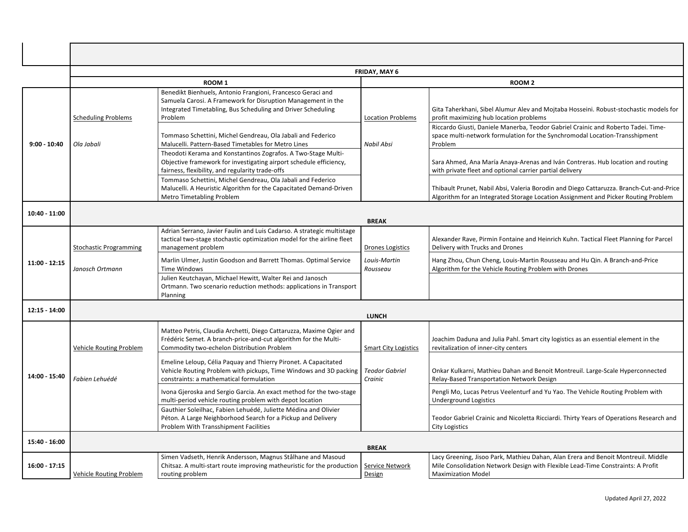|                | FRIDAY, MAY 6                            |                                                                                                                                                                                                                                                                                                                                                                                               |                                        |                                                                                                                                                                                                                                                                                                                              |  |
|----------------|------------------------------------------|-----------------------------------------------------------------------------------------------------------------------------------------------------------------------------------------------------------------------------------------------------------------------------------------------------------------------------------------------------------------------------------------------|----------------------------------------|------------------------------------------------------------------------------------------------------------------------------------------------------------------------------------------------------------------------------------------------------------------------------------------------------------------------------|--|
|                | ROOM <sub>1</sub>                        |                                                                                                                                                                                                                                                                                                                                                                                               |                                        | ROOM <sub>2</sub>                                                                                                                                                                                                                                                                                                            |  |
| $9:00 - 10:40$ | <b>Scheduling Problems</b><br>Ola Jabali | Benedikt Bienhuels, Antonio Frangioni, Francesco Geraci and<br>Samuela Carosi. A Framework for Disruption Management in the<br>Integrated Timetabling, Bus Scheduling and Driver Scheduling<br>Problem<br>Tommaso Schettini, Michel Gendreau, Ola Jabali and Federico<br>Malucelli. Pattern-Based Timetables for Metro Lines<br>Theodoti Kerama and Konstantinos Zografos. A Two-Stage Multi- | <b>Location Problems</b><br>Nabil Absi | Gita Taherkhani, Sibel Alumur Alev and Mojtaba Hosseini. Robust-stochastic models for<br>profit maximizing hub location problems<br>Riccardo Giusti, Daniele Manerba, Teodor Gabriel Crainic and Roberto Tadei. Time-<br>space multi-network formulation for the Synchromodal Location-Transshipment<br>Problem              |  |
|                |                                          | Objective framework for investigating airport schedule efficiency,<br>fairness, flexibility, and regularity trade-offs<br>Tommaso Schettini, Michel Gendreau, Ola Jabali and Federico<br>Malucelli. A Heuristic Algorithm for the Capacitated Demand-Driven<br><b>Metro Timetabling Problem</b>                                                                                               |                                        | Sara Ahmed, Ana María Anaya-Arenas and Iván Contreras. Hub location and routing<br>with private fleet and optional carrier partial delivery<br>Thibault Prunet, Nabil Absi, Valeria Borodin and Diego Cattaruzza. Branch-Cut-and-Price<br>Algorithm for an Integrated Storage Location Assignment and Picker Routing Problem |  |
| 10:40 - 11:00  | <b>BREAK</b>                             |                                                                                                                                                                                                                                                                                                                                                                                               |                                        |                                                                                                                                                                                                                                                                                                                              |  |
|                | <b>Stochastic Programming</b>            | Adrian Serrano, Javier Faulin and Luis Cadarso. A strategic multistage<br>tactical two-stage stochastic optimization model for the airline fleet<br>management problem                                                                                                                                                                                                                        | <b>Drones Logistics</b>                | Alexander Rave, Pirmin Fontaine and Heinrich Kuhn. Tactical Fleet Planning for Parcel<br>Delivery with Trucks and Drones                                                                                                                                                                                                     |  |
| 11:00 - 12:15  | Janosch Ortmann                          | Marlin Ulmer, Justin Goodson and Barrett Thomas. Optimal Service<br><b>Time Windows</b>                                                                                                                                                                                                                                                                                                       | Louis-Martin<br>Rousseau               | Hang Zhou, Chun Cheng, Louis-Martin Rousseau and Hu Qin. A Branch-and-Price<br>Algorithm for the Vehicle Routing Problem with Drones                                                                                                                                                                                         |  |
|                |                                          | Julien Keutchayan, Michael Hewitt, Walter Rei and Janosch<br>Ortmann. Two scenario reduction methods: applications in Transport<br>Planning                                                                                                                                                                                                                                                   |                                        |                                                                                                                                                                                                                                                                                                                              |  |
| 12:15 - 14:00  |                                          |                                                                                                                                                                                                                                                                                                                                                                                               | <b>LUNCH</b>                           |                                                                                                                                                                                                                                                                                                                              |  |
|                | Vehicle Routing Problem                  | Matteo Petris, Claudia Archetti, Diego Cattaruzza, Maxime Ogier and<br>Frédéric Semet. A branch-price-and-cut algorithm for the Multi-<br>Commodity two-echelon Distribution Problem                                                                                                                                                                                                          | <b>Smart City Logistics</b>            | Joachim Daduna and Julia Pahl. Smart city logistics as an essential element in the<br>revitalization of inner-city centers                                                                                                                                                                                                   |  |
| 14:00 - 15:40  | Fabien Lehuédé                           | Emeline Leloup, Célia Paquay and Thierry Pironet. A Capacitated<br>Vehicle Routing Problem with pickups, Time Windows and 3D packing<br>constraints: a mathematical formulation                                                                                                                                                                                                               | <b>Teodor Gabriel</b><br>Crainic       | Onkar Kulkarni, Mathieu Dahan and Benoit Montreuil. Large-Scale Hyperconnected<br>Relay-Based Transportation Network Design                                                                                                                                                                                                  |  |
|                |                                          | Ivona Gjeroska and Sergio Garcia. An exact method for the two-stage<br>multi-period vehicle routing problem with depot location                                                                                                                                                                                                                                                               |                                        | Pengli Mo, Lucas Petrus Veelenturf and Yu Yao. The Vehicle Routing Problem with<br><b>Underground Logistics</b>                                                                                                                                                                                                              |  |
|                |                                          | Gauthier Soleilhac, Fabien Lehuédé, Juliette Médina and Olivier<br>Péton. A Large Neighborhood Search for a Pickup and Delivery<br>Problem With Transshipment Facilities                                                                                                                                                                                                                      |                                        | Teodor Gabriel Crainic and Nicoletta Ricciardi. Thirty Years of Operations Research and<br><b>City Logistics</b>                                                                                                                                                                                                             |  |
| 15:40 - 16:00  |                                          |                                                                                                                                                                                                                                                                                                                                                                                               | <b>BREAK</b>                           |                                                                                                                                                                                                                                                                                                                              |  |
| 16:00 - 17:15  | Vehicle Routing Problem                  | Simen Vadseth, Henrik Andersson, Magnus Stålhane and Masoud<br>Chitsaz. A multi-start route improving matheuristic for the production<br>routing problem                                                                                                                                                                                                                                      | Service Network<br>Design              | Lacy Greening, Jisoo Park, Mathieu Dahan, Alan Erera and Benoit Montreuil. Middle<br>Mile Consolidation Network Design with Flexible Lead-Time Constraints: A Profit<br><b>Maximization Model</b>                                                                                                                            |  |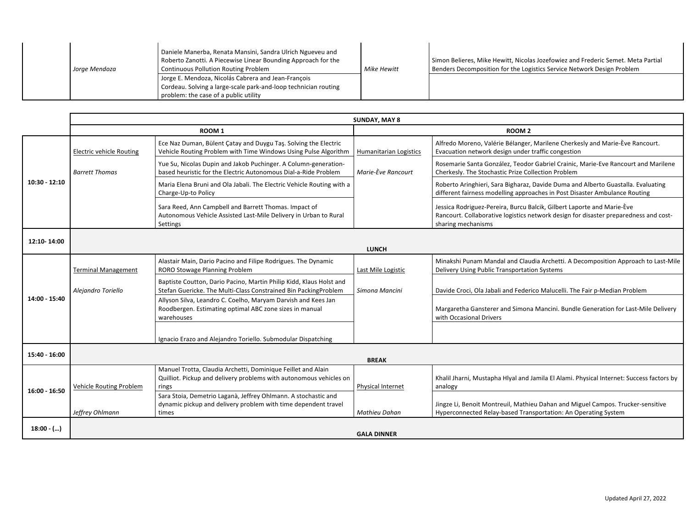|  | Jorae Mendoza | Daniele Manerba, Renata Mansini, Sandra Ulrich Ngueveu and<br>Roberto Zanotti. A Piecewise Linear Bounding Approach for the<br><b>Continuous Pollution Routing Problem</b><br>Jorge E. Mendoza, Nicolás Cabrera and Jean-François<br>Cordeau. Solving a large-scale park-and-loop technician routing<br>problem: the case of a public utility | Mike Hewitt | Simon Belieres, Mike Hewitt, Nicolas Jozefowiez and Frederic Semet. Meta Partial<br>Benders Decomposition for the Logistics Service Network Design Problem |
|--|---------------|-----------------------------------------------------------------------------------------------------------------------------------------------------------------------------------------------------------------------------------------------------------------------------------------------------------------------------------------------|-------------|------------------------------------------------------------------------------------------------------------------------------------------------------------|
|--|---------------|-----------------------------------------------------------------------------------------------------------------------------------------------------------------------------------------------------------------------------------------------------------------------------------------------------------------------------------------------|-------------|------------------------------------------------------------------------------------------------------------------------------------------------------------|

|                 | <b>SUNDAY, MAY 8</b>            |                                                                                                                                             |                               |                                                                                                                                                                                      |
|-----------------|---------------------------------|---------------------------------------------------------------------------------------------------------------------------------------------|-------------------------------|--------------------------------------------------------------------------------------------------------------------------------------------------------------------------------------|
|                 | ROOM <sub>1</sub>               |                                                                                                                                             | ROOM <sub>2</sub>             |                                                                                                                                                                                      |
|                 | <b>Electric vehicle Routing</b> | Ece Naz Duman, Bülent Çatay and Duygu Taş. Solving the Electric<br>Vehicle Routing Problem with Time Windows Using Pulse Algorithm          | <b>Humanitarian Logistics</b> | Alfredo Moreno, Valérie Bélanger, Marilene Cherkesly and Marie-Ève Rancourt.<br>Evacuation network design under traffic congestion                                                   |
|                 | <b>Barrett Thomas</b>           | Yue Su, Nicolas Dupin and Jakob Puchinger. A Column-generation-<br>based heuristic for the Electric Autonomous Dial-a-Ride Problem          | Marie-Ève Rancourt            | Rosemarie Santa González, Teodor Gabriel Crainic, Marie-Eve Rancourt and Marilene<br>Cherkesly. The Stochastic Prize Collection Problem                                              |
| $10:30 - 12:10$ |                                 | Maria Elena Bruni and Ola Jabali. The Electric Vehicle Routing with a<br>Charge-Up-to Policy                                                |                               | Roberto Aringhieri, Sara Bigharaz, Davide Duma and Alberto Guastalla. Evaluating<br>different fairness modelling approaches in Post Disaster Ambulance Routing                       |
|                 |                                 | Sara Reed, Ann Campbell and Barrett Thomas. Impact of<br>Autonomous Vehicle Assisted Last-Mile Delivery in Urban to Rural<br>Settings       |                               | Jessica Rodriguez-Pereira, Burcu Balcik, Gilbert Laporte and Marie-Ève<br>Rancourt. Collaborative logistics network design for disaster preparedness and cost-<br>sharing mechanisms |
| 12:10-14:00     |                                 |                                                                                                                                             | <b>LUNCH</b>                  |                                                                                                                                                                                      |
|                 | <b>Terminal Management</b>      | Alastair Main, Dario Pacino and Filipe Rodrigues. The Dynamic<br>RORO Stowage Planning Problem                                              | Last Mile Logistic            | Minakshi Punam Mandal and Claudia Archetti. A Decomposition Approach to Last-Mile<br>Delivery Using Public Transportation Systems                                                    |
|                 | Alejandro Toriello              | Baptiste Coutton, Dario Pacino, Martin Philip Kidd, Klaus Holst and<br>Stefan Guericke. The Multi-Class Constrained Bin PackingProblem      | Simona Mancini                | Davide Croci, Ola Jabali and Federico Malucelli. The Fair p-Median Problem                                                                                                           |
| 14:00 - 15:40   |                                 | Allyson Silva, Leandro C. Coelho, Maryam Darvish and Kees Jan<br>Roodbergen. Estimating optimal ABC zone sizes in manual<br>warehouses      |                               | Margaretha Gansterer and Simona Mancini. Bundle Generation for Last-Mile Delivery<br>with Occasional Drivers                                                                         |
|                 |                                 | Ignacio Erazo and Alejandro Toriello. Submodular Dispatching                                                                                |                               |                                                                                                                                                                                      |
| 15:40 - 16:00   |                                 |                                                                                                                                             | <b>BREAK</b>                  |                                                                                                                                                                                      |
| 16:00 - 16:50   | Vehicle Routing Problem         | Manuel Trotta, Claudia Archetti, Dominique Feillet and Alain<br>Quilliot. Pickup and delivery problems with autonomous vehicles on<br>rings | Physical Internet             | Khalil Jharni, Mustapha Hlyal and Jamila El Alami. Physical Internet: Success factors by<br>analogy                                                                                  |
|                 | Jeffrey Ohlmann                 | Sara Stoia, Demetrio Laganà, Jeffrey Ohlmann. A stochastic and<br>dynamic pickup and delivery problem with time dependent travel<br>times   | Mathieu Dahan                 | Jingze Li, Benoit Montreuil, Mathieu Dahan and Miguel Campos. Trucker-sensitive<br>Hyperconnected Relay-based Transportation: An Operating System                                    |
| $18:00 -$ ()    |                                 |                                                                                                                                             | <b>GALA DINNER</b>            |                                                                                                                                                                                      |